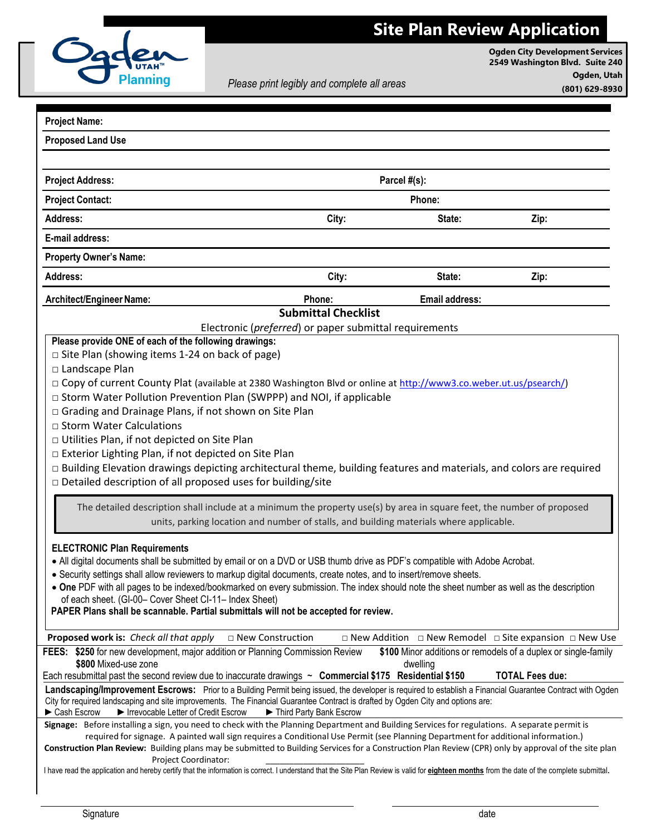

**Ogden City Development Services 2549 Washington Blvd. Suite 240 Ogden, Utah (801) 629-8930**

*Please print legibly and complete all areas*

| <b>Project Name:</b>                                                                                                                                                                                                         |                            |                       |                                                                                         |
|------------------------------------------------------------------------------------------------------------------------------------------------------------------------------------------------------------------------------|----------------------------|-----------------------|-----------------------------------------------------------------------------------------|
| <b>Proposed Land Use</b>                                                                                                                                                                                                     |                            |                       |                                                                                         |
|                                                                                                                                                                                                                              |                            |                       |                                                                                         |
|                                                                                                                                                                                                                              | Parcel #(s):               |                       |                                                                                         |
| <b>Project Address:</b>                                                                                                                                                                                                      |                            |                       |                                                                                         |
| <b>Project Contact:</b>                                                                                                                                                                                                      | Phone:                     |                       |                                                                                         |
| Address:                                                                                                                                                                                                                     | City:                      | State:                | Zip:                                                                                    |
| E-mail address:                                                                                                                                                                                                              |                            |                       |                                                                                         |
| <b>Property Owner's Name:</b>                                                                                                                                                                                                |                            |                       |                                                                                         |
| <b>Address:</b>                                                                                                                                                                                                              | City:                      | State:                | Zip:                                                                                    |
| Architect/Engineer Name:                                                                                                                                                                                                     | Phone:                     | <b>Email address:</b> |                                                                                         |
|                                                                                                                                                                                                                              | <b>Submittal Checklist</b> |                       |                                                                                         |
| Electronic (preferred) or paper submittal requirements                                                                                                                                                                       |                            |                       |                                                                                         |
| Please provide ONE of each of the following drawings:                                                                                                                                                                        |                            |                       |                                                                                         |
| $\Box$ Site Plan (showing items 1-24 on back of page)                                                                                                                                                                        |                            |                       |                                                                                         |
| □ Landscape Plan                                                                                                                                                                                                             |                            |                       |                                                                                         |
| □ Copy of current County Plat (available at 2380 Washington Blvd or online at http://www3.co.weber.ut.us/psearch/)                                                                                                           |                            |                       |                                                                                         |
| □ Storm Water Pollution Prevention Plan (SWPPP) and NOI, if applicable                                                                                                                                                       |                            |                       |                                                                                         |
| □ Grading and Drainage Plans, if not shown on Site Plan                                                                                                                                                                      |                            |                       |                                                                                         |
| □ Storm Water Calculations                                                                                                                                                                                                   |                            |                       |                                                                                         |
| D Utilities Plan, if not depicted on Site Plan                                                                                                                                                                               |                            |                       |                                                                                         |
| □ Exterior Lighting Plan, if not depicted on Site Plan                                                                                                                                                                       |                            |                       |                                                                                         |
| □ Building Elevation drawings depicting architectural theme, building features and materials, and colors are required                                                                                                        |                            |                       |                                                                                         |
| □ Detailed description of all proposed uses for building/site                                                                                                                                                                |                            |                       |                                                                                         |
| The detailed description shall include at a minimum the property use(s) by area in square feet, the number of proposed                                                                                                       |                            |                       |                                                                                         |
| units, parking location and number of stalls, and building materials where applicable.                                                                                                                                       |                            |                       |                                                                                         |
|                                                                                                                                                                                                                              |                            |                       |                                                                                         |
| <b>ELECTRONIC Plan Requirements</b>                                                                                                                                                                                          |                            |                       |                                                                                         |
| . All digital documents shall be submitted by email or on a DVD or USB thumb drive as PDF's compatible with Adobe Acrobat.                                                                                                   |                            |                       |                                                                                         |
| · Security settings shall allow reviewers to markup digital documents, create notes, and to insert/remove sheets.                                                                                                            |                            |                       |                                                                                         |
| • One PDF with all pages to be indexed/bookmarked on every submission. The index should note the sheet number as well as the description                                                                                     |                            |                       |                                                                                         |
| of each sheet. (GI-00- Cover Sheet CI-11- Index Sheet)                                                                                                                                                                       |                            |                       |                                                                                         |
| PAPER Plans shall be scannable. Partial submittals will not be accepted for review.                                                                                                                                          |                            |                       |                                                                                         |
| Proposed work is: Check all that apply<br>□ New Construction                                                                                                                                                                 |                            |                       | $\square$ New Addition $\square$ New Remodel $\square$ Site expansion $\square$ New Use |
| FEES: \$250 for new development, major addition or Planning Commission Review                                                                                                                                                |                            |                       | \$100 Minor additions or remodels of a duplex or single-family                          |
| \$800 Mixed-use zone<br>dwelling                                                                                                                                                                                             |                            |                       |                                                                                         |
| Each resubmittal past the second review due to inaccurate drawings $\sim$ Commercial \$175 Residential \$150                                                                                                                 |                            |                       | <b>TOTAL Fees due:</b>                                                                  |
| Landscaping/Improvement Escrows: Prior to a Building Permit being issued, the developer is required to establish a Financial Guarantee Contract with Ogden                                                                   |                            |                       |                                                                                         |
| City for required landscaping and site improvements. The Financial Guarantee Contract is drafted by Ogden City and options are:                                                                                              |                            |                       |                                                                                         |
| Cash Escrow<br>Important Letter of Credit Escrow<br>Third Party Bank Escrow<br>Signage: Before installing a sign, you need to check with the Planning Department and Building Services for regulations. A separate permit is |                            |                       |                                                                                         |
| required for signage. A painted wall sign requires a Conditional Use Permit (see Planning Department for additional information.)                                                                                            |                            |                       |                                                                                         |
| Construction Plan Review: Building plans may be submitted to Building Services for a Construction Plan Review (CPR) only by approval of the site plan                                                                        |                            |                       |                                                                                         |
| Project Coordinator:                                                                                                                                                                                                         |                            |                       |                                                                                         |
| I have read the application and hereby certify that the information is correct. I understand that the Site Plan Review is valid for eighteen months from the date of the complete submittal.                                 |                            |                       |                                                                                         |